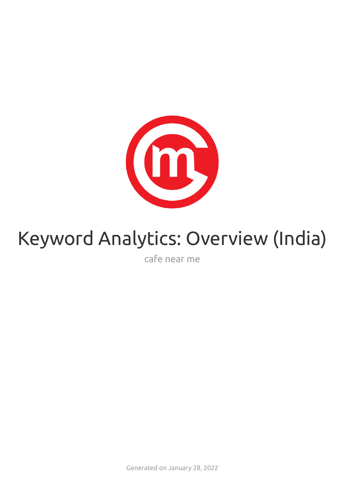

# Keyword Analytics: Overview (India)

cafe near me

Generated on January 28, 2022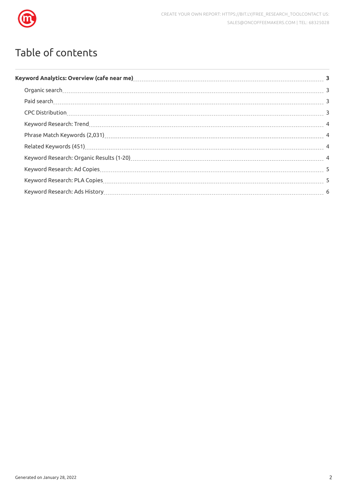

## Table of contents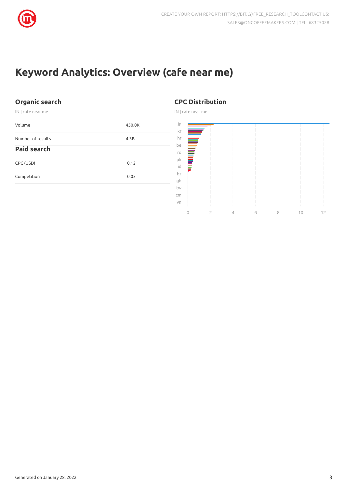

## <span id="page-2-0"></span>**Keyword Analytics: Overview (cafe near me)**

#### <span id="page-2-1"></span>**Organic search**

IN | cafe near me

<span id="page-2-2"></span>

| Volume             | 450.0K |
|--------------------|--------|
| Number of results  | 4.3B   |
| <b>Paid search</b> |        |
| CPC (USD)          | 0.12   |
| Competition        | 0.05   |
|                    |        |

#### <span id="page-2-3"></span>**CPC Distribution**

IN | cafe near me

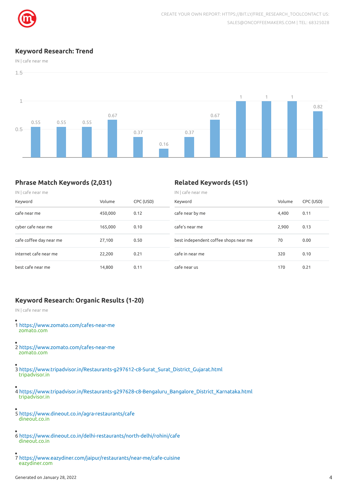

#### <span id="page-3-0"></span>**Keyword Research: Trend**

IN | cafe near me



#### <span id="page-3-1"></span>**Phrase Match Keywords (2,031)**

#### <span id="page-3-2"></span>**Related Keywords (451)**

| $IN$ cafe near me       |         |           | $IN$ cafe near me                     |        |           |  |
|-------------------------|---------|-----------|---------------------------------------|--------|-----------|--|
| Keyword                 | Volume  | CPC (USD) | Keyword                               | Volume | CPC (USD) |  |
| cafe near me            | 450,000 | 0.12      | cafe near by me                       | 4,400  | 0.11      |  |
| cyber cafe near me      | 165,000 | 0.10      | cafe's near me                        | 2,900  | 0.13      |  |
| cafe coffee day near me | 27,100  | 0.50      | best independent coffee shops near me | 70     | 0.00      |  |
| internet cafe near me   | 22,200  | 0.21      | cafe in near me                       | 320    | 0.10      |  |
| best cafe near me       | 14.800  | 0.11      | cafe near us                          | 170    | 0.21      |  |

#### <span id="page-3-3"></span>**Keyword Research: Organic Results (1-20)**

IN | cafe near me

- 1 <https://www.zomato.com/cafes-near-me> zomato.com
- 2 <https://www.zomato.com/cafes-near-me> zomato.com
- 3 [https://www.tripadvisor.in/Restaurants-g297612-c8-Surat\\_Surat\\_District\\_Gujarat.html](https://www.tripadvisor.in/Restaurants-g297612-c8-Surat_Surat_District_Gujarat.html) tripadvisor.in
- 4 [https://www.tripadvisor.in/Restaurants-g297628-c8-Bengaluru\\_Bangalore\\_District\\_Karnataka.html](https://www.tripadvisor.in/Restaurants-g297628-c8-Bengaluru_Bangalore_District_Karnataka.html) tripadvisor.in
- 5 <https://www.dineout.co.in/agra-restaurants/cafe> dineout.co.in
- 6 <https://www.dineout.co.in/delhi-restaurants/north-delhi/rohini/cafe> dineout.co.in
- 7 <https://www.eazydiner.com/jaipur/restaurants/near-me/cafe-cuisine> eazydiner.com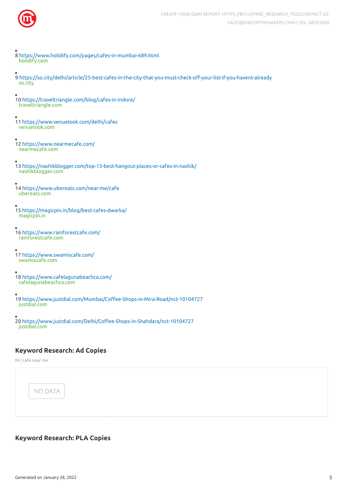

- 8 <https://www.holidify.com/pages/cafes-in-mumbai-689.html> holidify.com
- 9 https://so.city/delhi/article/25-best-cafes-in-the-city-that-you-must-check-off-your-list-if-you-havent-already so.city
- 10 <https://traveltriangle.com/blog/cafes-in-indore/> traveltriangle.com
- 11 <https://www.venuelook.com/delhi/cafes> venuelook.com
- 12 <https://www.nearmecafe.com/> nearmecafe.com
- 13 <https://nashikblogger.com/top-13-best-hangout-places-or-cafes-in-nashik/> nashikblogger.com
- 14 <https://www.ubereats.com/near-me/cafe> ubereats.com
- 15 <https://magicpin.in/blog/best-cafes-dwarka/> magicpin.in
- 16 <https://www.rainforestcafe.com/> rainforestcafe.com
- 17 <https://www.swamiscafe.com/> swamiscafe.com
- 18 <https://www.cafelagunabeachca.com/> cafelagunabeachca.com
- 19 https://www.justdial.com/Mumbai/Coffee-Shops-in-Mira-Road/nct-10104727 justdial.com
- 20 https://www.justdial.com/Delhi/Coffee-Shops-in-Shahdara/nct-10104727 justdial.com

#### <span id="page-4-0"></span>**Keyword Research: Ad Copies**

IN | cafe near me



#### <span id="page-4-1"></span>**Keyword Research: PLA Copies**